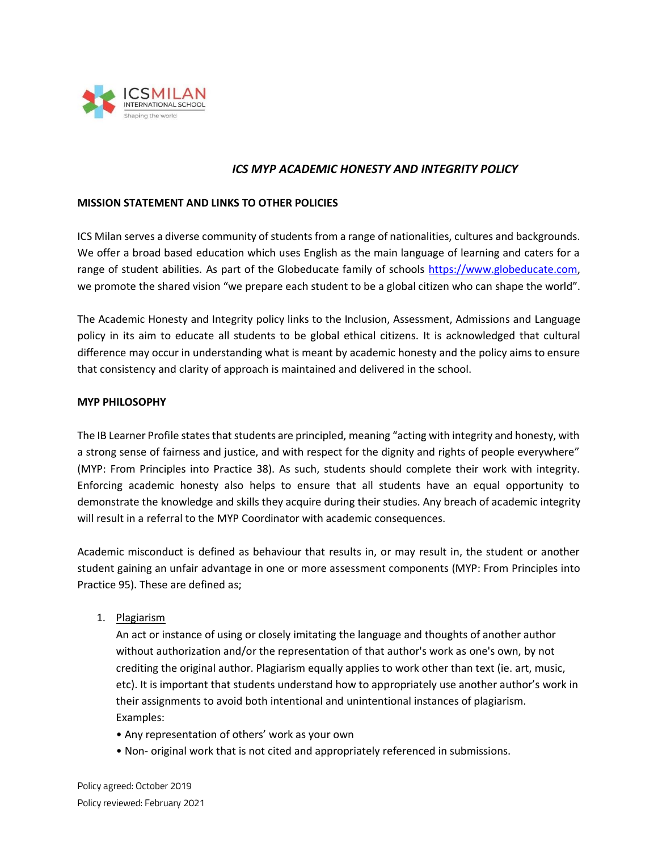

# *ICS MYP ACADEMIC HONESTY AND INTEGRITY POLICY*

### **MISSION STATEMENT AND LINKS TO OTHER POLICIES**

ICS Milan serves a diverse community of students from a range of nationalities, cultures and backgrounds. We offer a broad based education which uses English as the main language of learning and caters for a range of student abilities. As part of the Globeducate family of schools [https://www.globeducate.com,](https://www.globeducate.com/) we promote the shared vision "we prepare each student to be a global citizen who can shape the world".

The Academic Honesty and Integrity policy links to the Inclusion, Assessment, Admissions and Language policy in its aim to educate all students to be global ethical citizens. It is acknowledged that cultural difference may occur in understanding what is meant by academic honesty and the policy aims to ensure that consistency and clarity of approach is maintained and delivered in the school.

### **MYP PHILOSOPHY**

The IB Learner Profile states that students are principled, meaning "acting with integrity and honesty, with a strong sense of fairness and justice, and with respect for the dignity and rights of people everywhere" (MYP: From Principles into Practice 38). As such, students should complete their work with integrity. Enforcing academic honesty also helps to ensure that all students have an equal opportunity to demonstrate the knowledge and skills they acquire during their studies. Any breach of academic integrity will result in a referral to the MYP Coordinator with academic consequences.

Academic misconduct is defined as behaviour that results in, or may result in, the student or another student gaining an unfair advantage in one or more assessment components (MYP: From Principles into Practice 95). These are defined as;

1. Plagiarism

An act or instance of using or closely imitating the language and thoughts of another author without authorization and/or the representation of that author's work as one's own, by not crediting the original author. Plagiarism equally applies to work other than text (ie. art, music, etc). It is important that students understand how to appropriately use another author's work in their assignments to avoid both intentional and unintentional instances of plagiarism. Examples:

- Any representation of others' work as your own
- Non- original work that is not cited and appropriately referenced in submissions.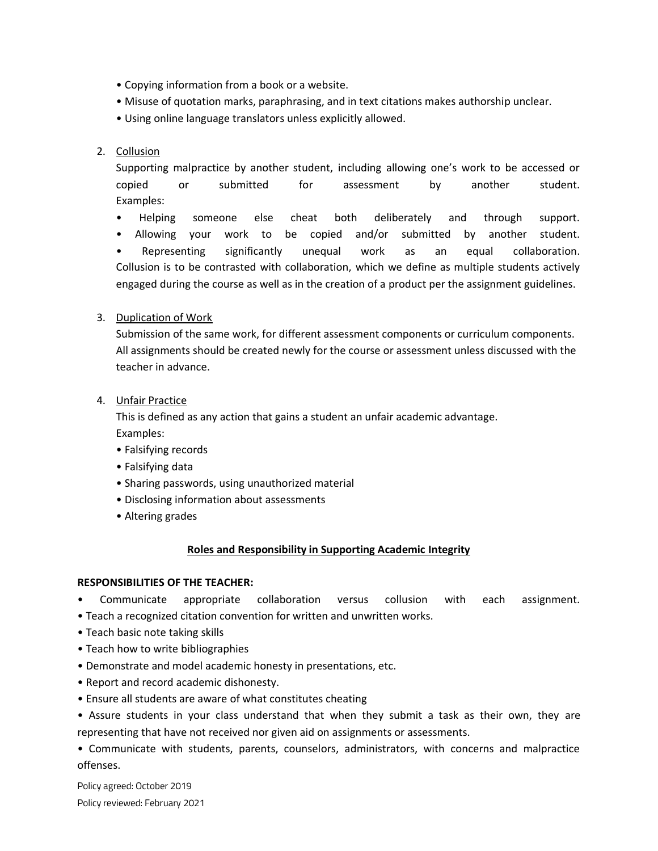- Copying information from a book or a website.
- Misuse of quotation marks, paraphrasing, and in text citations makes authorship unclear.
- Using online language translators unless explicitly allowed.

# 2. Collusion

Supporting malpractice by another student, including allowing one's work to be accessed or copied or submitted for assessment by another student. Examples:

• Helping someone else cheat both deliberately and through support.

• Allowing your work to be copied and/or submitted by another student. • Representing significantly unequal work as an equal collaboration. Collusion is to be contrasted with collaboration, which we define as multiple students actively engaged during the course as well as in the creation of a product per the assignment guidelines.

# 3. Duplication of Work

Submission of the same work, for different assessment components or curriculum components. All assignments should be created newly for the course or assessment unless discussed with the teacher in advance.

4. Unfair Practice

This is defined as any action that gains a student an unfair academic advantage. Examples:

- Falsifying records
- Falsifying data
- Sharing passwords, using unauthorized material
- Disclosing information about assessments
- Altering grades

## **Roles and Responsibility in Supporting Academic Integrity**

## **RESPONSIBILITIES OF THE TEACHER:**

- Communicate appropriate collaboration versus collusion with each assignment.
- Teach a recognized citation convention for written and unwritten works.
- Teach basic note taking skills
- Teach how to write bibliographies
- Demonstrate and model academic honesty in presentations, etc.
- Report and record academic dishonesty.
- Ensure all students are aware of what constitutes cheating
- Assure students in your class understand that when they submit a task as their own, they are representing that have not received nor given aid on assignments or assessments.

• Communicate with students, parents, counselors, administrators, with concerns and malpractice offenses.

Policy agreed: October 2019 Policy reviewed: February 2021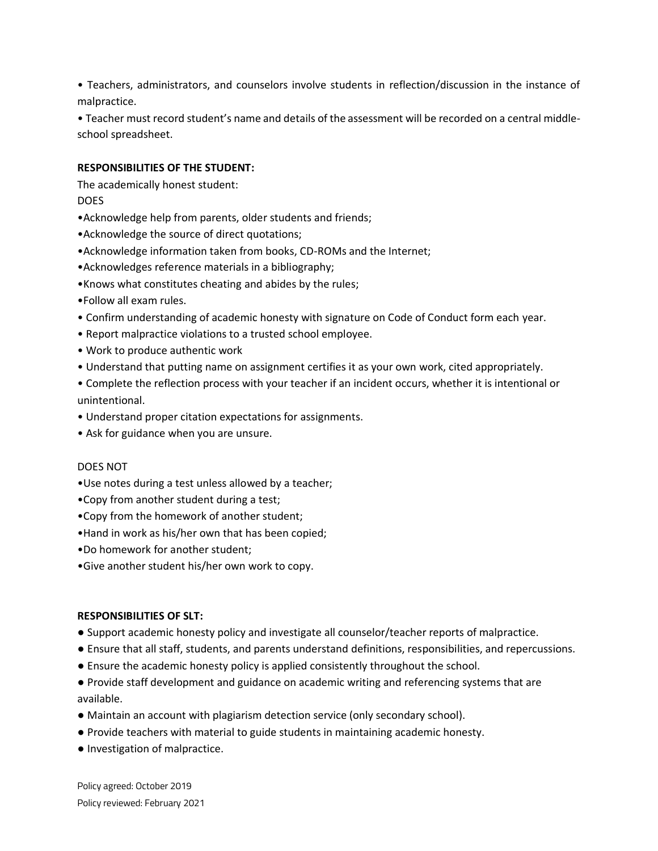• Teachers, administrators, and counselors involve students in reflection/discussion in the instance of malpractice.

• Teacher must record student's name and details of the assessment will be recorded on a central middleschool spreadsheet.

## **RESPONSIBILITIES OF THE STUDENT:**

The academically honest student: DOES

- •Acknowledge help from parents, older students and friends;
- •Acknowledge the source of direct quotations;
- •Acknowledge information taken from books, CD-ROMs and the Internet;
- •Acknowledges reference materials in a bibliography;
- •Knows what constitutes cheating and abides by the rules;
- •Follow all exam rules.
- Confirm understanding of academic honesty with signature on Code of Conduct form each year.
- Report malpractice violations to a trusted school employee.
- Work to produce authentic work
- Understand that putting name on assignment certifies it as your own work, cited appropriately.

• Complete the reflection process with your teacher if an incident occurs, whether it is intentional or unintentional.

- Understand proper citation expectations for assignments.
- Ask for guidance when you are unsure.

### DOES NOT

- •Use notes during a test unless allowed by a teacher;
- •Copy from another student during a test;
- •Copy from the homework of another student;
- •Hand in work as his/her own that has been copied;
- •Do homework for another student;
- •Give another student his/her own work to copy.

### **RESPONSIBILITIES OF SLT:**

- Support academic honesty policy and investigate all counselor/teacher reports of malpractice.
- Ensure that all staff, students, and parents understand definitions, responsibilities, and repercussions.
- Ensure the academic honesty policy is applied consistently throughout the school.
- Provide staff development and guidance on academic writing and referencing systems that are available.
- Maintain an account with plagiarism detection service (only secondary school).
- Provide teachers with material to guide students in maintaining academic honesty.
- Investigation of malpractice.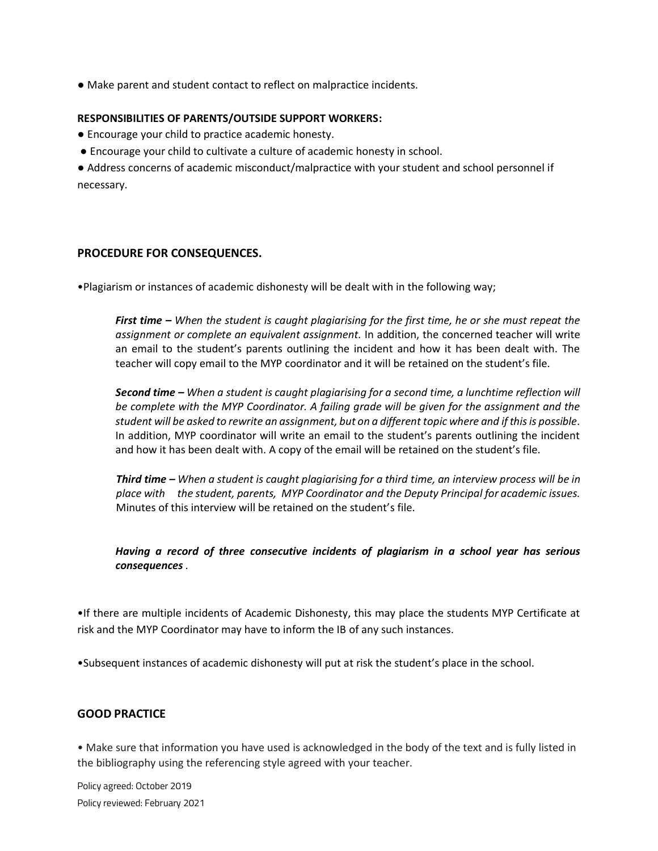● Make parent and student contact to reflect on malpractice incidents.

## **RESPONSIBILITIES OF PARENTS/OUTSIDE SUPPORT WORKERS:**

- Encourage your child to practice academic honesty.
- Encourage your child to cultivate a culture of academic honesty in school.

● Address concerns of academic misconduct/malpractice with your student and school personnel if necessary.

# **PROCEDURE FOR CONSEQUENCES.**

•Plagiarism or instances of academic dishonesty will be dealt with in the following way;

*First time – When the student is caught plagiarising for the first time, he or she must repeat the assignment or complete an equivalent assignment.* In addition, the concerned teacher will write an email to the student's parents outlining the incident and how it has been dealt with. The teacher will copy email to the MYP coordinator and it will be retained on the student's file.

*Second time – When a student is caught plagiarising for a second time, a lunchtime reflection will be complete with the MYP Coordinator. A failing grade will be given for the assignment and the student will be asked to rewrite an assignment, but on a different topic where and if this is possible.*  In addition, MYP coordinator will write an email to the student's parents outlining the incident and how it has been dealt with. A copy of the email will be retained on the student's file.

*Third time – When a student is caught plagiarising for a third time, an interview process will be in place with the student, parents, MYP Coordinator and the Deputy Principal for academic issues.*  Minutes of this interview will be retained on the student's file.

# *Having a record of three consecutive incidents of plagiarism in a school year has serious consequences .*

•If there are multiple incidents of Academic Dishonesty, this may place the students MYP Certificate at risk and the MYP Coordinator may have to inform the IB of any such instances.

•Subsequent instances of academic dishonesty will put at risk the student's place in the school.

# **GOOD PRACTICE**

• Make sure that information you have used is acknowledged in the body of the text and is fully listed in the bibliography using the referencing style agreed with your teacher.

Policy agreed: October 2019 Policy reviewed: February 2021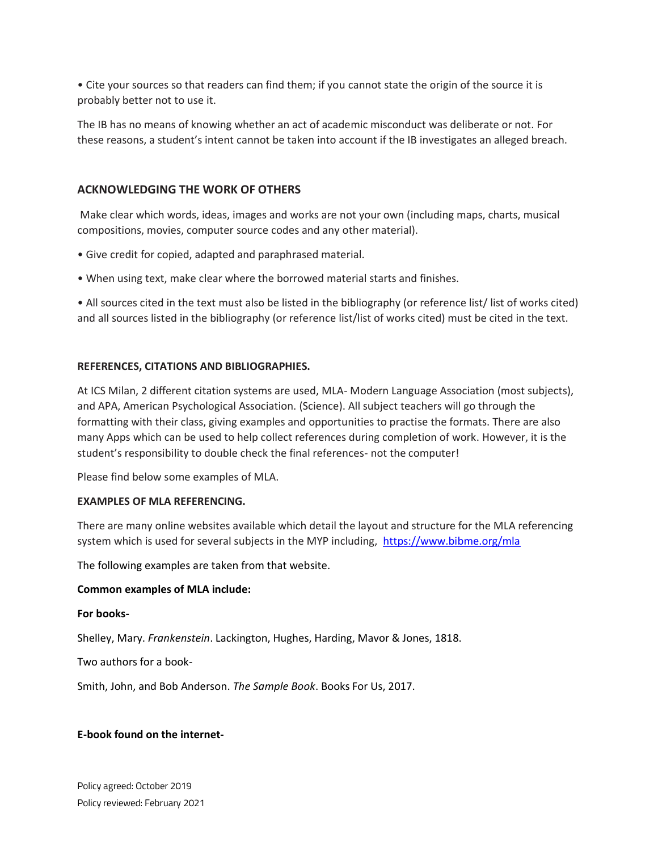• Cite your sources so that readers can find them; if you cannot state the origin of the source it is probably better not to use it.

The IB has no means of knowing whether an act of academic misconduct was deliberate or not. For these reasons, a student's intent cannot be taken into account if the IB investigates an alleged breach.

## **ACKNOWLEDGING THE WORK OF OTHERS**

Make clear which words, ideas, images and works are not your own (including maps, charts, musical compositions, movies, computer source codes and any other material).

- Give credit for copied, adapted and paraphrased material.
- When using text, make clear where the borrowed material starts and finishes.

• All sources cited in the text must also be listed in the bibliography (or reference list/ list of works cited) and all sources listed in the bibliography (or reference list/list of works cited) must be cited in the text.

#### **REFERENCES, CITATIONS AND BIBLIOGRAPHIES.**

At ICS Milan, 2 different citation systems are used, MLA- Modern Language Association (most subjects), and APA, American Psychological Association. (Science). All subject teachers will go through the formatting with their class, giving examples and opportunities to practise the formats. There are also many Apps which can be used to help collect references during completion of work. However, it is the student's responsibility to double check the final references- not the computer!

Please find below some examples of MLA.

#### **EXAMPLES OF MLA REFERENCING.**

There are many online websites available which detail the layout and structure for the MLA referencing system which is used for several subjects in the MYP including, <https://www.bibme.org/mla>

The following examples are taken from that website.

#### **Common examples of MLA include:**

#### **For books-**

Shelley, Mary. *Frankenstein*. Lackington, Hughes, Harding, Mavor & Jones, 1818.

Two authors for a book-

Smith, John, and Bob Anderson. *The Sample Book*. Books For Us, 2017.

### **E-book found on the internet-**